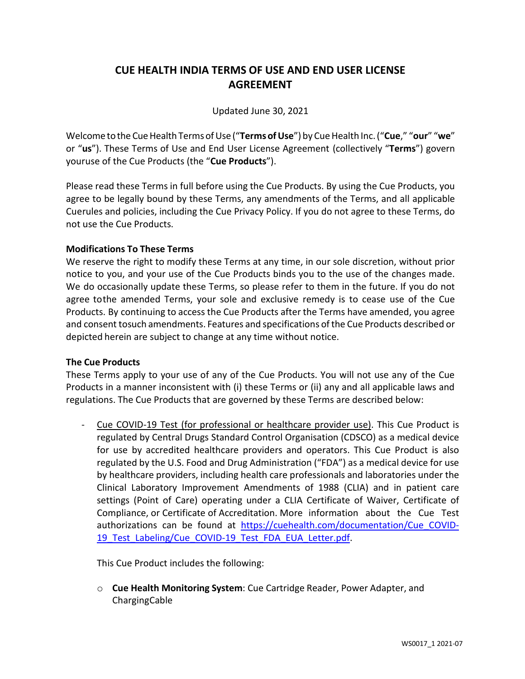# **CUE HEALTH INDIA TERMS OF USE AND END USER LICENSE AGREEMENT**

# Updated June 30, 2021

Welcome to the Cue Health Terms of Use ("Terms of Use") by Cue Health Inc. ("Cue," "our" "we" or "**us**"). These Terms of Use and End User License Agreement (collectively "**Terms**") govern youruse of the Cue Products (the "**Cue Products**").

Please read these Terms in full before using the Cue Products. By using the Cue Products, you agree to be legally bound by these Terms, any amendments of the Terms, and all applicable Cuerules and policies, including the Cue Privacy Policy. If you do not agree to these Terms, do not use the Cue Products.

## **Modifications To These Terms**

We reserve the right to modify these Terms at any time, in our sole discretion, without prior notice to you, and your use of the Cue Products binds you to the use of the changes made. We do occasionally update these Terms, so please refer to them in the future. If you do not agree tothe amended Terms, your sole and exclusive remedy is to cease use of the Cue Products. By continuing to access the Cue Products after the Terms have amended, you agree and consent tosuch amendments. Features and specifications ofthe Cue Products described or depicted herein are subject to change at any time without notice.

#### **The Cue Products**

These Terms apply to your use of any of the Cue Products. You will not use any of the Cue Products in a manner inconsistent with (i) these Terms or (ii) any and all applicable laws and regulations. The Cue Products that are governed by these Terms are described below:

- Cue COVID-19 Test (for professional or healthcare provider use). This Cue Product is regulated by Central Drugs Standard Control Organisation (CDSCO) as a medical device for use by accredited healthcare providers and operators. This Cue Product is also regulated by the U.S. Food and Drug Administration ("FDA") as a medical device for use by healthcare providers, including health care professionals and laboratories under the Clinical Laboratory Improvement Amendments of 1988 (CLIA) and in patient care settings (Point of Care) operating under a CLIA Certificate of Waiver, Certificate of Compliance, or Certificate of Accreditation. More information about the Cue Test authorizations can be found at [https://cuehealth.com/documentation/Cue\\_COVID-](https://cuehealth.com/documentation/Cue_COVID-19_Test_Labeling/Cue_COVID-19_Test_FDA_EUA_Letter.pdf)19 Test Labeling/Cue COVID-19 Test FDA EUA Letter.pdf.

This Cue Product includes the following:

o **Cue Health Monitoring System**: Cue Cartridge Reader, Power Adapter, and ChargingCable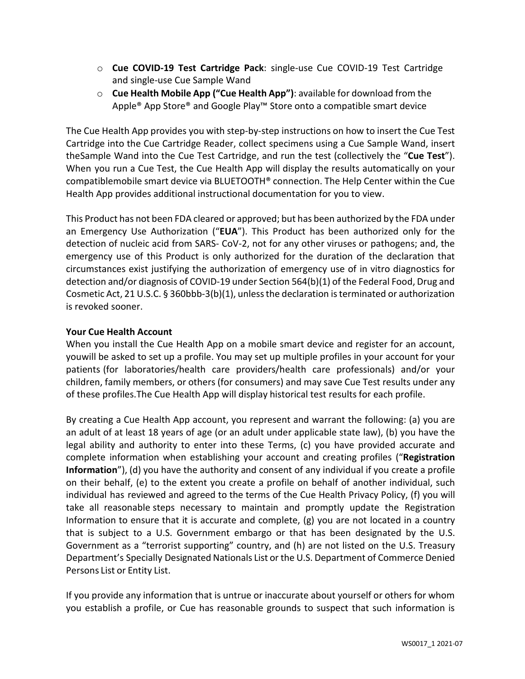- o **Cue COVID-19 Test Cartridge Pack**: single-use Cue COVID-19 Test Cartridge and single-use Cue Sample Wand
- o **Cue Health Mobile App ("Cue Health App")**: available for download from the Apple<sup>®</sup> App Store<sup>®</sup> and Google Play™ Store onto a compatible smart device

The Cue Health App provides you with step-by-step instructions on how to insert the Cue Test Cartridge into the Cue Cartridge Reader, collect specimens using a Cue Sample Wand, insert theSample Wand into the Cue Test Cartridge, and run the test (collectively the "**Cue Test**"). When you run a Cue Test, the Cue Health App will display the results automatically on your compatiblemobile smart device via BLUETOOTH® connection. The Help Center within the Cue Health App provides additional instructional documentation for you to view.

This Product has not been FDA cleared or approved; but has been authorized by the FDA under an Emergency Use Authorization ("**EUA**"). This Product has been authorized only for the detection of nucleic acid from SARS- CoV-2, not for any other viruses or pathogens; and, the emergency use of this Product is only authorized for the duration of the declaration that circumstances exist justifying the authorization of emergency use of in vitro diagnostics for detection and/or diagnosis of COVID-19 under Section 564(b)(1) of the Federal Food, Drug and Cosmetic Act, 21 U.S.C. § 360bbb-3(b)(1), unless the declaration is terminated or authorization is revoked sooner.

# **Your Cue Health Account**

When you install the Cue Health App on a mobile smart device and register for an account, youwill be asked to set up a profile. You may set up multiple profiles in your account for your patients (for laboratories/health care providers/health care professionals) and/or your children, family members, or others (for consumers) and may save Cue Test results under any of these profiles.The Cue Health App will display historical test results for each profile.

By creating a Cue Health App account, you represent and warrant the following: (a) you are an adult of at least 18 years of age (or an adult under applicable state law), (b) you have the legal ability and authority to enter into these Terms, (c) you have provided accurate and complete information when establishing your account and creating profiles ("**Registration Information**"), (d) you have the authority and consent of any individual if you create a profile on their behalf, (e) to the extent you create a profile on behalf of another individual, such individual has reviewed and agreed to the terms of the Cue Health Privacy Policy, (f) you will take all reasonable steps necessary to maintain and promptly update the Registration Information to ensure that it is accurate and complete, (g) you are not located in a country that is subject to a U.S. Government embargo or that has been designated by the U.S. Government as a "terrorist supporting" country, and (h) are not listed on the U.S. Treasury Department's Specially Designated Nationals List or the U.S. Department of Commerce Denied Persons List or Entity List.

If you provide any information that is untrue or inaccurate about yourself or others for whom you establish a profile, or Cue has reasonable grounds to suspect that such information is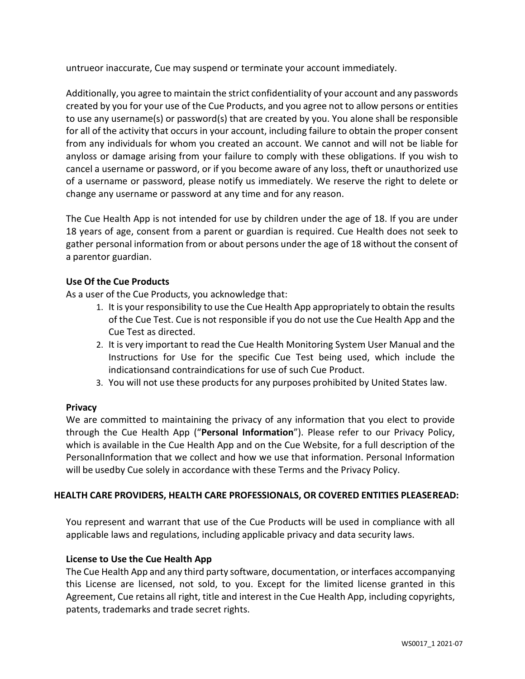untrueor inaccurate, Cue may suspend or terminate your account immediately.

Additionally, you agree to maintain the strict confidentiality of your account and any passwords created by you for your use of the Cue Products, and you agree not to allow persons or entities to use any username(s) or password(s) that are created by you. You alone shall be responsible for all of the activity that occurs in your account, including failure to obtain the proper consent from any individuals for whom you created an account. We cannot and will not be liable for anyloss or damage arising from your failure to comply with these obligations. If you wish to cancel a username or password, or if you become aware of any loss, theft or unauthorized use of a username or password, please notify us immediately. We reserve the right to delete or change any username or password at any time and for any reason.

The Cue Health App is not intended for use by children under the age of 18. If you are under 18 years of age, consent from a parent or guardian is required. Cue Health does not seek to gather personal information from or about persons under the age of 18 without the consent of a parentor guardian.

# **Use Of the Cue Products**

As a user of the Cue Products, you acknowledge that:

- 1. It is your responsibility to use the Cue Health App appropriately to obtain the results of the Cue Test. Cue is not responsible if you do not use the Cue Health App and the Cue Test as directed.
- 2. It is very important to read the Cue Health Monitoring System User Manual and the Instructions for Use for the specific Cue Test being used, which include the indicationsand contraindications for use of such Cue Product.
- 3. You will not use these products for any purposes prohibited by United States law.

# **Privacy**

We are committed to maintaining the privacy of any information that you elect to provide through the Cue Health App ("**Personal Information**"). Please refer to our Privacy Policy, which is available in the Cue Health App and on the Cue Website, for a full description of the PersonalInformation that we collect and how we use that information. Personal Information will be usedby Cue solely in accordance with these Terms and the Privacy Policy.

# **HEALTH CARE PROVIDERS, HEALTH CARE PROFESSIONALS, OR COVERED ENTITIES PLEASE READ:**

You represent and warrant that use of the Cue Products will be used in compliance with all applicable laws and regulations, including applicable privacy and data security laws.

# **License to Use the Cue Health App**

The Cue Health App and any third party software, documentation, or interfaces accompanying this License are licensed, not sold, to you. Except for the limited license granted in this Agreement, Cue retains all right, title and interest in the Cue Health App, including copyrights, patents, trademarks and trade secret rights.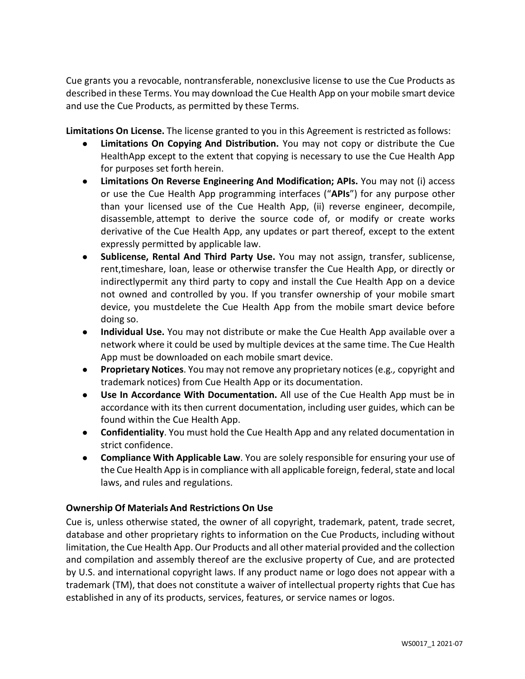Cue grants you a revocable, nontransferable, nonexclusive license to use the Cue Products as described in these Terms. You may download the Cue Health App on your mobile smart device and use the Cue Products, as permitted by these Terms.

**Limitations On License.** The license granted to you in this Agreement is restricted as follows:

- **● Limitations On Copying And Distribution.** You may not copy or distribute the Cue HealthApp except to the extent that copying is necessary to use the Cue Health App for purposes set forth herein.
- **● Limitations On Reverse Engineering And Modification; APIs.** You may not (i) access or use the Cue Health App programming interfaces ("**APIs**") for any purpose other than your licensed use of the Cue Health App, (ii) reverse engineer, decompile, disassemble, attempt to derive the source code of, or modify or create works derivative of the Cue Health App, any updates or part thereof, except to the extent expressly permitted by applicable law.
- **● Sublicense, Rental And Third Party Use.** You may not assign, transfer, sublicense, rent,timeshare, loan, lease or otherwise transfer the Cue Health App, or directly or indirectlypermit any third party to copy and install the Cue Health App on a device not owned and controlled by you. If you transfer ownership of your mobile smart device, you mustdelete the Cue Health App from the mobile smart device before doing so.
- **● Individual Use.** You may not distribute or make the Cue Health App available over a network where it could be used by multiple devices at the same time. The Cue Health App must be downloaded on each mobile smart device.
- **● Proprietary Notices**. You may not remove any proprietary notices (e.g*.,* copyright and trademark notices) from Cue Health App or its documentation.
- **● Use In Accordance With Documentation.** All use of the Cue Health App must be in accordance with its then current documentation, including user guides, which can be found within the Cue Health App.
- **● Confidentiality**. You must hold the Cue Health App and any related documentation in strict confidence.
- **● Compliance With Applicable Law**. You are solely responsible for ensuring your use of the Cue Health App is in compliance with all applicable foreign, federal, state and local laws, and rules and regulations.

# **Ownership Of Materials And Restrictions On Use**

Cue is, unless otherwise stated, the owner of all copyright, trademark, patent, trade secret, database and other proprietary rights to information on the Cue Products, including without limitation, the Cue Health App. Our Products and all other material provided and the collection and compilation and assembly thereof are the exclusive property of Cue, and are protected by U.S. and international copyright laws. If any product name or logo does not appear with a trademark (TM), that does not constitute a waiver of intellectual property rights that Cue has established in any of its products, services, features, or service names or logos.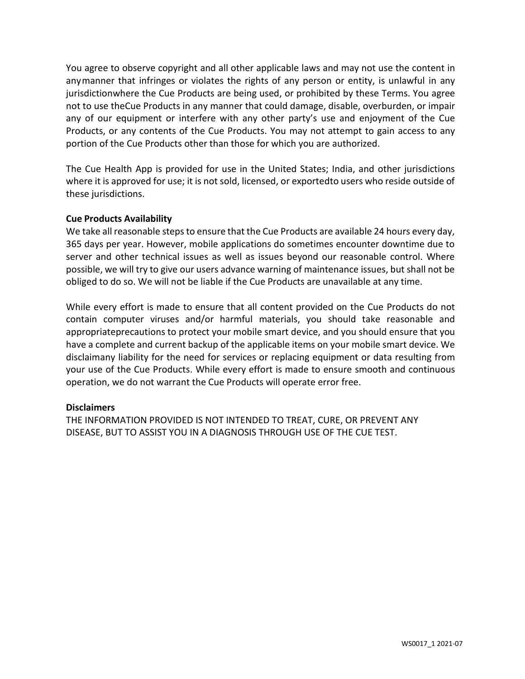You agree to observe copyright and all other applicable laws and may not use the content in anymanner that infringes or violates the rights of any person or entity, is unlawful in any jurisdictionwhere the Cue Products are being used, or prohibited by these Terms. You agree not to use theCue Products in any manner that could damage, disable, overburden, or impair any of our equipment or interfere with any other party's use and enjoyment of the Cue Products, or any contents of the Cue Products. You may not attempt to gain access to any portion of the Cue Products other than those for which you are authorized.

The Cue Health App is provided for use in the United States; India, and other jurisdictions where it is approved for use; it is not sold, licensed, or exportedto users who reside outside of these jurisdictions.

## **Cue Products Availability**

We take all reasonable steps to ensure that the Cue Products are available 24 hours every day, 365 days per year. However, mobile applications do sometimes encounter downtime due to server and other technical issues as well as issues beyond our reasonable control. Where possible, we will try to give our users advance warning of maintenance issues, but shall not be obliged to do so. We will not be liable if the Cue Products are unavailable at any time.

While every effort is made to ensure that all content provided on the Cue Products do not contain computer viruses and/or harmful materials, you should take reasonable and appropriateprecautions to protect your mobile smart device, and you should ensure that you have a complete and current backup of the applicable items on your mobile smart device. We disclaimany liability for the need for services or replacing equipment or data resulting from your use of the Cue Products. While every effort is made to ensure smooth and continuous operation, we do not warrant the Cue Products will operate error free.

#### **Disclaimers**

THE INFORMATION PROVIDED IS NOT INTENDED TO TREAT, CURE, OR PREVENT ANY DISEASE, BUT TO ASSIST YOU IN A DIAGNOSIS THROUGH USE OF THE CUE TEST.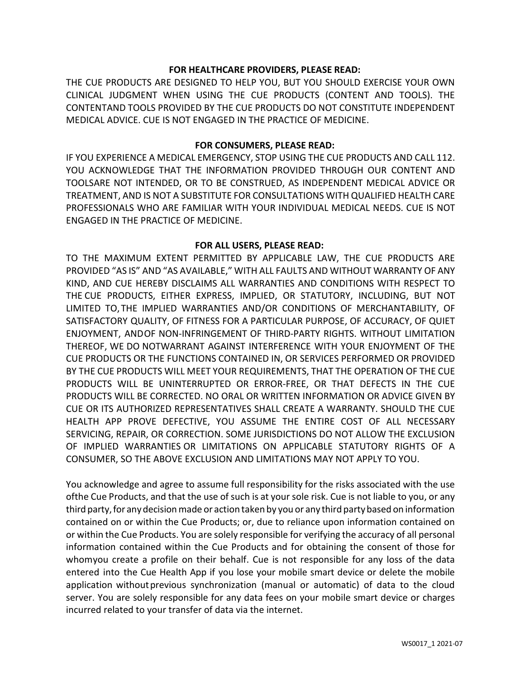## **FOR HEALTHCARE PROVIDERS, PLEASE READ:**

THE CUE PRODUCTS ARE DESIGNED TO HELP YOU, BUT YOU SHOULD EXERCISE YOUR OWN CLINICAL JUDGMENT WHEN USING THE CUE PRODUCTS (CONTENT AND TOOLS). THE CONTENTAND TOOLS PROVIDED BY THE CUE PRODUCTS DO NOT CONSTITUTE INDEPENDENT MEDICAL ADVICE. CUE IS NOT ENGAGED IN THE PRACTICE OF MEDICINE.

#### **FOR CONSUMERS, PLEASE READ:**

IF YOU EXPERIENCE A MEDICAL EMERGENCY, STOP USING THE CUE PRODUCTS AND CALL 112. YOU ACKNOWLEDGE THAT THE INFORMATION PROVIDED THROUGH OUR CONTENT AND TOOLSARE NOT INTENDED, OR TO BE CONSTRUED, AS INDEPENDENT MEDICAL ADVICE OR TREATMENT, AND IS NOT A SUBSTITUTE FOR CONSULTATIONS WITH QUALIFIED HEALTH CARE PROFESSIONALS WHO ARE FAMILIAR WITH YOUR INDIVIDUAL MEDICAL NEEDS. CUE IS NOT ENGAGED IN THE PRACTICE OF MEDICINE.

#### **FOR ALL USERS, PLEASE READ:**

TO THE MAXIMUM EXTENT PERMITTED BY APPLICABLE LAW, THE CUE PRODUCTS ARE PROVIDED "AS IS" AND "AS AVAILABLE," WITH ALL FAULTS AND WITHOUT WARRANTY OF ANY KIND, AND CUE HEREBY DISCLAIMS ALL WARRANTIES AND CONDITIONS WITH RESPECT TO THE CUE PRODUCTS, EITHER EXPRESS, IMPLIED, OR STATUTORY, INCLUDING, BUT NOT LIMITED TO,THE IMPLIED WARRANTIES AND/OR CONDITIONS OF MERCHANTABILITY, OF SATISFACTORY QUALITY, OF FITNESS FOR A PARTICULAR PURPOSE, OF ACCURACY, OF QUIET ENJOYMENT, ANDOF NON-INFRINGEMENT OF THIRD-PARTY RIGHTS. WITHOUT LIMITATION THEREOF, WE DO NOTWARRANT AGAINST INTERFERENCE WITH YOUR ENJOYMENT OF THE CUE PRODUCTS OR THE FUNCTIONS CONTAINED IN, OR SERVICES PERFORMED OR PROVIDED BY THE CUE PRODUCTS WILL MEET YOUR REQUIREMENTS, THAT THE OPERATION OF THE CUE PRODUCTS WILL BE UNINTERRUPTED OR ERROR-FREE, OR THAT DEFECTS IN THE CUE PRODUCTS WILL BE CORRECTED. NO ORAL OR WRITTEN INFORMATION OR ADVICE GIVEN BY CUE OR ITS AUTHORIZED REPRESENTATIVES SHALL CREATE A WARRANTY. SHOULD THE CUE HEALTH APP PROVE DEFECTIVE, YOU ASSUME THE ENTIRE COST OF ALL NECESSARY SERVICING, REPAIR, OR CORRECTION. SOME JURISDICTIONS DO NOT ALLOW THE EXCLUSION OF IMPLIED WARRANTIES OR LIMITATIONS ON APPLICABLE STATUTORY RIGHTS OF A CONSUMER, SO THE ABOVE EXCLUSION AND LIMITATIONS MAY NOT APPLY TO YOU.

You acknowledge and agree to assume full responsibility for the risks associated with the use ofthe Cue Products, and that the use of such is at your sole risk. Cue is not liable to you, or any third party, for any decision made or action taken by you or any third party based on information contained on or within the Cue Products; or, due to reliance upon information contained on or within the Cue Products. You are solely responsible for verifying the accuracy of all personal information contained within the Cue Products and for obtaining the consent of those for whomyou create a profile on their behalf. Cue is not responsible for any loss of the data entered into the Cue Health App if you lose your mobile smart device or delete the mobile application withoutprevious synchronization (manual or automatic) of data to the cloud server. You are solely responsible for any data fees on your mobile smart device or charges incurred related to your transfer of data via the internet.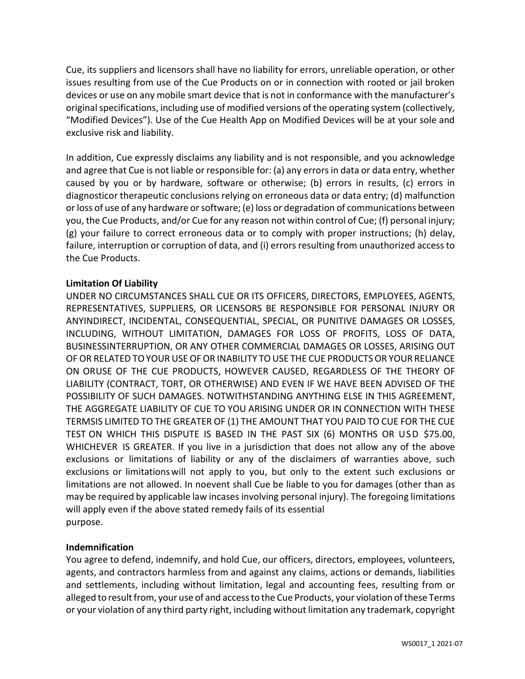Cue, its suppliers and licensors shall have no liability for errors, unreliable operation, or other issues resulting from use of the Cue Products on or in connection with rooted or jail broken devices or use on any mobile smart device that is not in conformance with the manufacturer's original specifications, including use of modified versions of the operating system (collectively, "Modified Devices"). Use of the Cue Health App on Modified Devices will be at your sole and exclusive risk and liability.

In addition, Cue expressly disclaims any liability and is not responsible, and you acknowledge and agree that Cue is not liable or responsible for: (a) any errors in data or data entry, whether caused by you or by hardware, software or otherwise; (b) errors in results, (c) errors in diagnosticor therapeutic conclusions relying on erroneous data or data entry; (d) malfunction or loss of use of any hardware or software; (e) loss or degradation of communications between you, the Cue Products, and/or Cue for any reason not within control of Cue; (f) personal injury; (g) your failure to correct erroneous data or to comply with proper instructions; (h) delay, failure, interruption or corruption of data, and (i) errors resulting from unauthorized access to the Cue Products.

## **Limitation Of Liability**

UNDER NO CIRCUMSTANCES SHALL CUE OR ITS OFFICERS, DIRECTORS, EMPLOYEES, AGENTS, REPRESENTATIVES, SUPPLIERS, OR LICENSORS BE RESPONSIBLE FOR PERSONAL INJURY OR ANYINDIRECT, INCIDENTAL, CONSEQUENTIAL, SPECIAL, OR PUNITIVE DAMAGES OR LOSSES, INCLUDING, WITHOUT LIMITATION, DAMAGES FOR LOSS OF PROFITS, LOSS OF DATA, BUSINESSINTERRUPTION, OR ANY OTHER COMMERCIAL DAMAGES OR LOSSES, ARISING OUT OF OR RELATED TO YOUR USE OF OR INABILITY TO USE THE CUE PRODUCTS OR YOUR RELIANCE ON ORUSE OF THE CUE PRODUCTS, HOWEVER CAUSED, REGARDLESS OF THE THEORY OF LIABILITY (CONTRACT, TORT, OR OTHERWISE) AND EVEN IF WE HAVE BEEN ADVISED OF THE POSSIBILITY OF SUCH DAMAGES. NOTWITHSTANDING ANYTHING ELSE IN THIS AGREEMENT, THE AGGREGATE LIABILITY OF CUE TO YOU ARISING UNDER OR IN CONNECTION WITH THESE TERMSIS LIMITED TO THE GREATER OF (1) THE AMOUNT THAT YOU PAID TO CUE FOR THE CUE TEST ON WHICH THIS DISPUTE IS BASED IN THE PAST SIX (6) MONTHS OR USD \$75.00, WHICHEVER IS GREATER. If you live in a jurisdiction that does not allow any of the above exclusions or limitations of liability or any of the disclaimers of warranties above, such exclusions or limitationswill not apply to you, but only to the extent such exclusions or limitations are not allowed. In noevent shall Cue be liable to you for damages (other than as may be required by applicable law incases involving personal injury). The foregoing limitations will apply even if the above stated remedy fails of its essential purpose.

#### **Indemnification**

You agree to defend, indemnify, and hold Cue, our officers, directors, employees, volunteers, agents, and contractors harmless from and against any claims, actions or demands, liabilities and settlements, including without limitation, legal and accounting fees, resulting from or alleged to result from, your use of and access to the Cue Products, your violation of these Terms or your violation of any third party right, including without limitation any trademark, copyright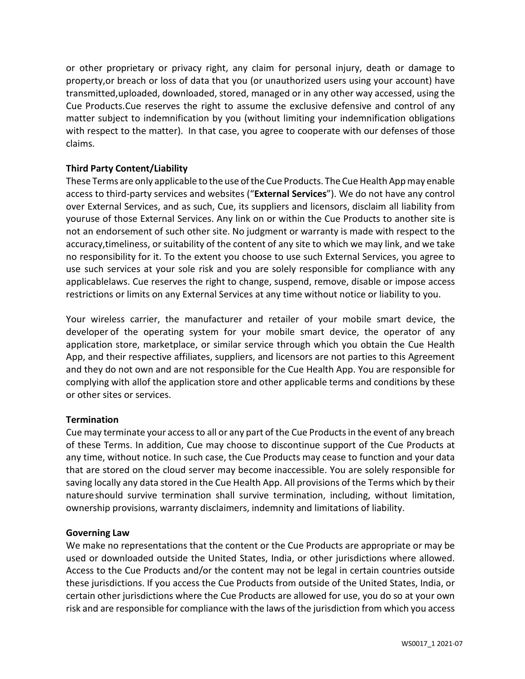or other proprietary or privacy right, any claim for personal injury, death or damage to property,or breach or loss of data that you (or unauthorized users using your account) have transmitted,uploaded, downloaded, stored, managed or in any other way accessed, using the Cue Products.Cue reserves the right to assume the exclusive defensive and control of any matter subject to indemnification by you (without limiting your indemnification obligations with respect to the matter). In that case, you agree to cooperate with our defenses of those claims.

# **Third Party Content/Liability**

These Terms are only applicable to the use of the Cue Products. The Cue Health App may enable access to third-party services and websites ("**External Services**"). We do not have any control over External Services, and as such, Cue, its suppliers and licensors, disclaim all liability from youruse of those External Services. Any link on or within the Cue Products to another site is not an endorsement of such other site. No judgment or warranty is made with respect to the accuracy,timeliness, or suitability of the content of any site to which we may link, and we take no responsibility for it. To the extent you choose to use such External Services, you agree to use such services at your sole risk and you are solely responsible for compliance with any applicablelaws. Cue reserves the right to change, suspend, remove, disable or impose access restrictions or limits on any External Services at any time without notice or liability to you.

Your wireless carrier, the manufacturer and retailer of your mobile smart device, the developer of the operating system for your mobile smart device, the operator of any application store, marketplace, or similar service through which you obtain the Cue Health App, and their respective affiliates, suppliers, and licensors are not parties to this Agreement and they do not own and are not responsible for the Cue Health App. You are responsible for complying with allof the application store and other applicable terms and conditions by these or other sites or services.

# **Termination**

Cue may terminate your accessto all or any part of the Cue Productsin the event of any breach of these Terms. In addition, Cue may choose to discontinue support of the Cue Products at any time, without notice. In such case, the Cue Products may cease to function and your data that are stored on the cloud server may become inaccessible. You are solely responsible for saving locally any data stored in the Cue Health App. All provisions of the Terms which by their natureshould survive termination shall survive termination, including, without limitation, ownership provisions, warranty disclaimers, indemnity and limitations of liability.

#### **Governing Law**

We make no representations that the content or the Cue Products are appropriate or may be used or downloaded outside the United States, India, or other jurisdictions where allowed. Access to the Cue Products and/or the content may not be legal in certain countries outside these jurisdictions. If you access the Cue Products from outside of the United States, India, or certain other jurisdictions where the Cue Products are allowed for use, you do so at your own risk and are responsible for compliance with the laws of the jurisdiction from which you access